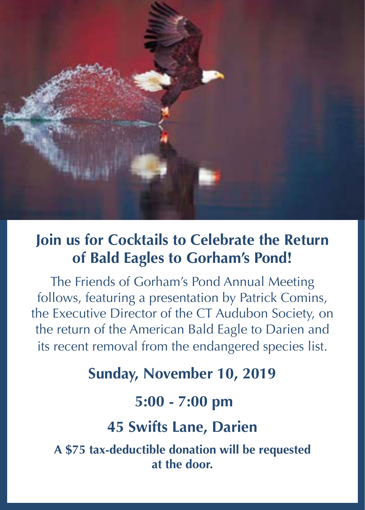

## **Join us for Cocktails to Celebrate the Return of Bald Eagles to Gorham's Pond!**

The Friends of Gorham's Pond Annual Meeting follows, featuring a presentation by Patrick Comins, the Executive Director of the CT Audubon Society, on the return of the American Bald Eagle to Darien and its recent removal from the endangered species list.

## **Sunday, November 10, 2019**

**5:00 - 7:00 pm**

**45 Swifts Lane, Darien**

**A \$75 tax-deductible donation will be requested at the door.**